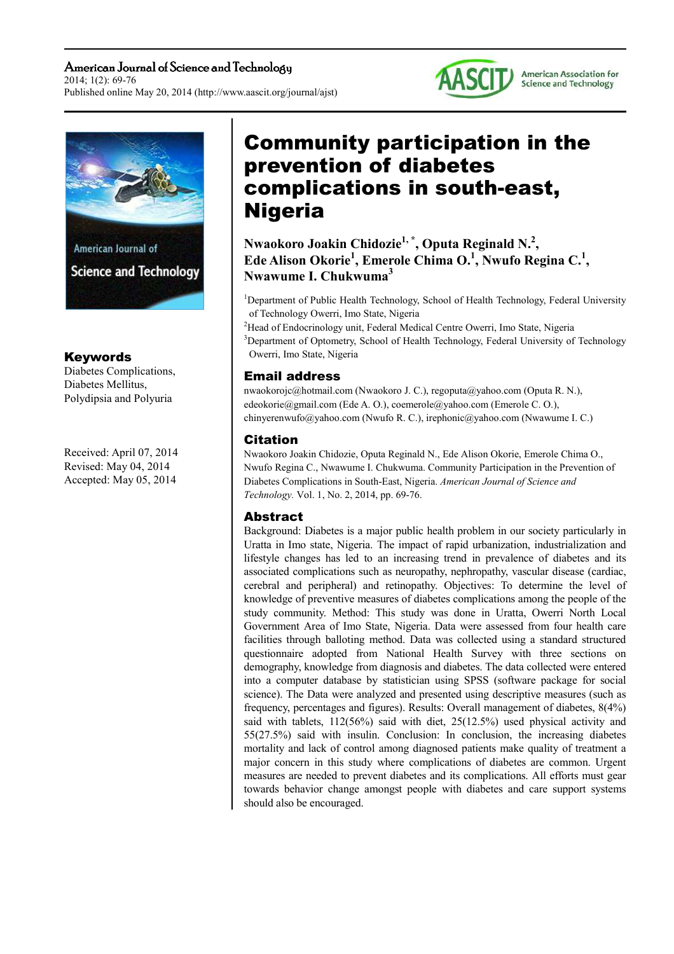American Journal of Science and Technology 2014; 1(2): 69-76 Published online May 20, 2014 (http://www.aascit.org/journal/ajst)





## Keywords

Diabetes Complications, Diabetes Mellitus, Polydipsia and Polyuria

Received: April 07, 2014 Revised: May 04, 2014 Accepted: May 05, 2014

# Community participation in the prevention of diabetes complications in south-east, Nigeria

**Nwaokoro Joakin Chidozie1, \*, Oputa Reginald N.<sup>2</sup> , Ede Alison Okorie<sup>1</sup> , Emerole Chima O.<sup>1</sup> , Nwufo Regina C.<sup>1</sup> , Nwawume I. Chukwuma<sup>3</sup>**

<sup>1</sup>Department of Public Health Technology, School of Health Technology, Federal University of Technology Owerri, Imo State, Nigeria

<sup>2</sup>Head of Endocrinology unit, Federal Medical Centre Owerri, Imo State, Nigeria <sup>3</sup>Department of Optometry, School of Health Technology, Federal University of Technology Owerri, Imo State, Nigeria

## Email address

nwaokorojc@hotmail.com (Nwaokoro J. C.), regoputa@yahoo.com (Oputa R. N.), edeokorie@gmail.com (Ede A. O.), coemerole@yahoo.com (Emerole C. O.), chinyerenwufo@yahoo.com (Nwufo R. C.), irephonic@yahoo.com (Nwawume I. C.)

## Citation

Nwaokoro Joakin Chidozie, Oputa Reginald N., Ede Alison Okorie, Emerole Chima O., Nwufo Regina C., Nwawume I. Chukwuma. Community Participation in the Prevention of Diabetes Complications in South-East, Nigeria. *American Journal of Science and Technology.* Vol. 1, No. 2, 2014, pp. 69-76.

## Abstract

Background: Diabetes is a major public health problem in our society particularly in Uratta in Imo state, Nigeria. The impact of rapid urbanization, industrialization and lifestyle changes has led to an increasing trend in prevalence of diabetes and its associated complications such as neuropathy, nephropathy, vascular disease (cardiac, cerebral and peripheral) and retinopathy. Objectives: To determine the level of knowledge of preventive measures of diabetes complications among the people of the study community. Method: This study was done in Uratta, Owerri North Local Government Area of Imo State, Nigeria. Data were assessed from four health care facilities through balloting method. Data was collected using a standard structured questionnaire adopted from National Health Survey with three sections on demography, knowledge from diagnosis and diabetes. The data collected were entered into a computer database by statistician using SPSS (software package for social science). The Data were analyzed and presented using descriptive measures (such as frequency, percentages and figures). Results: Overall management of diabetes, 8(4%) said with tablets, 112(56%) said with diet, 25(12.5%) used physical activity and 55(27.5%) said with insulin. Conclusion: In conclusion, the increasing diabetes mortality and lack of control among diagnosed patients make quality of treatment a major concern in this study where complications of diabetes are common. Urgent measures are needed to prevent diabetes and its complications. All efforts must gear towards behavior change amongst people with diabetes and care support systems should also be encouraged.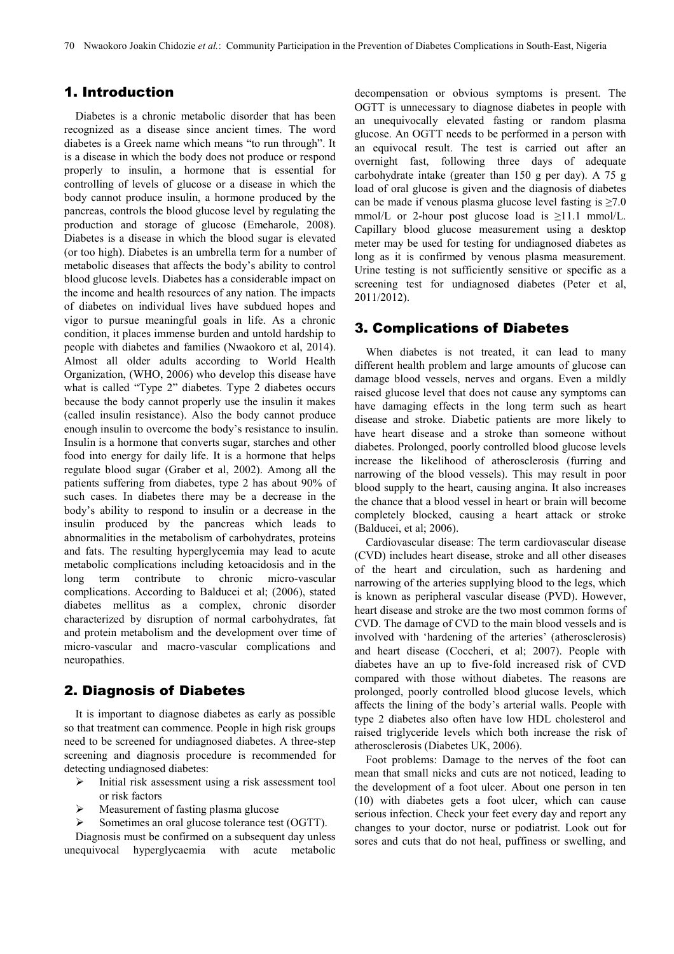## 1. Introduction

Diabetes is a chronic metabolic disorder that has been recognized as a disease since ancient times. The word diabetes is a Greek name which means "to run through". It is a disease in which the body does not produce or respond properly to insulin, a hormone that is essential for controlling of levels of glucose or a disease in which the body cannot produce insulin, a hormone produced by the pancreas, controls the blood glucose level by regulating the production and storage of glucose (Emeharole, 2008). Diabetes is a disease in which the blood sugar is elevated (or too high). Diabetes is an umbrella term for a number of metabolic diseases that affects the body's ability to control blood glucose levels. Diabetes has a considerable impact on the income and health resources of any nation. The impacts of diabetes on individual lives have subdued hopes and vigor to pursue meaningful goals in life. As a chronic condition, it places immense burden and untold hardship to people with diabetes and families (Nwaokoro et al, 2014). Almost all older adults according to World Health Organization, (WHO, 2006) who develop this disease have what is called "Type 2" diabetes. Type 2 diabetes occurs because the body cannot properly use the insulin it makes (called insulin resistance). Also the body cannot produce enough insulin to overcome the body's resistance to insulin. Insulin is a hormone that converts sugar, starches and other food into energy for daily life. It is a hormone that helps regulate blood sugar (Graber et al, 2002). Among all the patients suffering from diabetes, type 2 has about 90% of such cases. In diabetes there may be a decrease in the body's ability to respond to insulin or a decrease in the insulin produced by the pancreas which leads to abnormalities in the metabolism of carbohydrates, proteins and fats. The resulting hyperglycemia may lead to acute metabolic complications including ketoacidosis and in the long term contribute to chronic micro-vascular complications. According to Balducei et al; (2006), stated diabetes mellitus as a complex, chronic disorder characterized by disruption of normal carbohydrates, fat and protein metabolism and the development over time of micro-vascular and macro-vascular complications and neuropathies.

## 2. Diagnosis of Diabetes

It is important to diagnose diabetes as early as possible so that treatment can commence. People in high risk groups need to be screened for undiagnosed diabetes. A three-step screening and diagnosis procedure is recommended for detecting undiagnosed diabetes:

- $\triangleright$  Initial risk assessment using a risk assessment tool or risk factors
- > Measurement of fasting plasma glucose
- Sometimes an oral glucose tolerance test (OGTT).

Diagnosis must be confirmed on a subsequent day unless unequivocal hyperglycaemia with acute metabolic

decompensation or obvious symptoms is present. The OGTT is unnecessary to diagnose diabetes in people with an unequivocally elevated fasting or random plasma glucose. An OGTT needs to be performed in a person with an equivocal result. The test is carried out after an overnight fast, following three days of adequate carbohydrate intake (greater than 150 g per day). A 75 g load of oral glucose is given and the diagnosis of diabetes can be made if venous plasma glucose level fasting is  $\geq 7.0$ mmol/L or 2-hour post glucose load is  $\geq$ 11.1 mmol/L. Capillary blood glucose measurement using a desktop meter may be used for testing for undiagnosed diabetes as long as it is confirmed by venous plasma measurement. Urine testing is not sufficiently sensitive or specific as a screening test for undiagnosed diabetes (Peter et al, 2011/2012).

## 3. Complications of Diabetes

When diabetes is not treated, it can lead to many different health problem and large amounts of glucose can damage blood vessels, nerves and organs. Even a mildly raised glucose level that does not cause any symptoms can have damaging effects in the long term such as heart disease and stroke. Diabetic patients are more likely to have heart disease and a stroke than someone without diabetes. Prolonged, poorly controlled blood glucose levels increase the likelihood of atherosclerosis (furring and narrowing of the blood vessels). This may result in poor blood supply to the heart, causing angina. It also increases the chance that a blood vessel in heart or brain will become completely blocked, causing a heart attack or stroke (Balducei, et al; 2006).

Cardiovascular disease: The term cardiovascular disease (CVD) includes heart disease, stroke and all other diseases of the heart and circulation, such as hardening and narrowing of the arteries supplying blood to the legs, which is known as peripheral vascular disease (PVD). However, heart disease and stroke are the two most common forms of CVD. The damage of CVD to the main blood vessels and is involved with 'hardening of the arteries' (atherosclerosis) and heart disease (Coccheri, et al; 2007). People with diabetes have an up to five-fold increased risk of CVD compared with those without diabetes. The reasons are prolonged, poorly controlled blood glucose levels, which affects the lining of the body's arterial walls. People with type 2 diabetes also often have low HDL cholesterol and raised triglyceride levels which both increase the risk of atherosclerosis (Diabetes UK, 2006).

Foot problems: Damage to the nerves of the foot can mean that small nicks and cuts are not noticed, leading to the development of a foot ulcer. About one person in ten (10) with diabetes gets a foot ulcer, which can cause serious infection. Check your feet every day and report any changes to your doctor, nurse or podiatrist. Look out for sores and cuts that do not heal, puffiness or swelling, and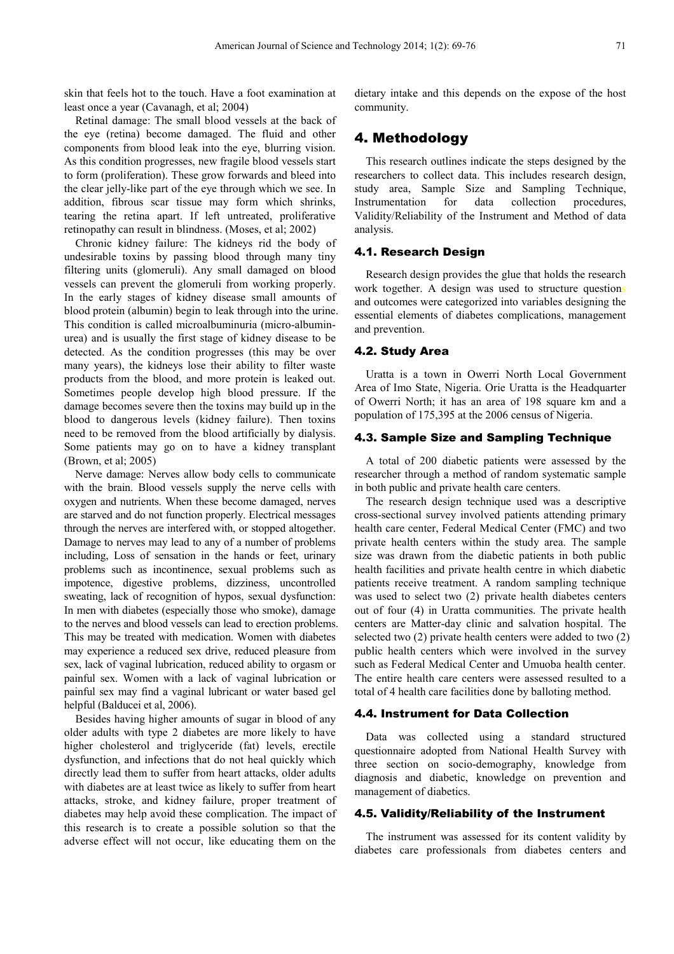skin that feels hot to the touch. Have a foot examination at least once a year (Cavanagh, et al; 2004)

Retinal damage: The small blood vessels at the back of the eye (retina) become damaged. The fluid and other components from blood leak into the eye, blurring vision. As this condition progresses, new fragile blood vessels start to form (proliferation). These grow forwards and bleed into the clear jelly-like part of the eye through which we see. In addition, fibrous scar tissue may form which shrinks, tearing the retina apart. If left untreated, proliferative retinopathy can result in blindness. (Moses, et al; 2002)

Chronic kidney failure: The kidneys rid the body of undesirable toxins by passing blood through many tiny filtering units (glomeruli). Any small damaged on blood vessels can prevent the glomeruli from working properly. In the early stages of kidney disease small amounts of blood protein (albumin) begin to leak through into the urine. This condition is called microalbuminuria (micro-albuminurea) and is usually the first stage of kidney disease to be detected. As the condition progresses (this may be over many years), the kidneys lose their ability to filter waste products from the blood, and more protein is leaked out. Sometimes people develop high blood pressure. If the damage becomes severe then the toxins may build up in the blood to dangerous levels (kidney failure). Then toxins need to be removed from the blood artificially by dialysis. Some patients may go on to have a kidney transplant (Brown, et al; 2005)

Nerve damage: Nerves allow body cells to communicate with the brain. Blood vessels supply the nerve cells with oxygen and nutrients. When these become damaged, nerves are starved and do not function properly. Electrical messages through the nerves are interfered with, or stopped altogether. Damage to nerves may lead to any of a number of problems including, Loss of sensation in the hands or feet, urinary problems such as incontinence, sexual problems such as impotence, digestive problems, dizziness, uncontrolled sweating, lack of recognition of hypos, sexual dysfunction: In men with diabetes (especially those who smoke), damage to the nerves and blood vessels can lead to erection problems. This may be treated with medication. Women with diabetes may experience a reduced sex drive, reduced pleasure from sex, lack of vaginal lubrication, reduced ability to orgasm or painful sex. Women with a lack of vaginal lubrication or painful sex may find a vaginal lubricant or water based gel helpful (Balducei et al, 2006).

Besides having higher amounts of sugar in blood of any older adults with type 2 diabetes are more likely to have higher cholesterol and triglyceride (fat) levels, erectile dysfunction, and infections that do not heal quickly which directly lead them to suffer from heart attacks, older adults with diabetes are at least twice as likely to suffer from heart attacks, stroke, and kidney failure, proper treatment of diabetes may help avoid these complication. The impact of this research is to create a possible solution so that the adverse effect will not occur, like educating them on the

dietary intake and this depends on the expose of the host community.

## 4. Methodology

This research outlines indicate the steps designed by the researchers to collect data. This includes research design, study area, Sample Size and Sampling Technique, Instrumentation for data collection procedures, Validity/Reliability of the Instrument and Method of data analysis.

#### 4.1. Research Design

Research design provides the glue that holds the research work together. A design was used to structure questions and outcomes were categorized into variables designing the essential elements of diabetes complications, management and prevention.

#### 4.2. Study Area

Uratta is a town in Owerri North Local Government Area of Imo State, Nigeria. Orie Uratta is the Headquarter of Owerri North; it has an area of 198 square km and a population of 175,395 at the 2006 census of Nigeria.

#### 4.3. Sample Size and Sampling Technique

A total of 200 diabetic patients were assessed by the researcher through a method of random systematic sample in both public and private health care centers.

The research design technique used was a descriptive cross-sectional survey involved patients attending primary health care center, Federal Medical Center (FMC) and two private health centers within the study area. The sample size was drawn from the diabetic patients in both public health facilities and private health centre in which diabetic patients receive treatment. A random sampling technique was used to select two (2) private health diabetes centers out of four (4) in Uratta communities. The private health centers are Matter-day clinic and salvation hospital. The selected two (2) private health centers were added to two (2) public health centers which were involved in the survey such as Federal Medical Center and Umuoba health center. The entire health care centers were assessed resulted to a total of 4 health care facilities done by balloting method.

#### 4.4. Instrument for Data Collection

Data was collected using a standard structured questionnaire adopted from National Health Survey with three section on socio-demography, knowledge from diagnosis and diabetic, knowledge on prevention and management of diabetics.

#### 4.5. Validity/Reliability of the Instrument

The instrument was assessed for its content validity by diabetes care professionals from diabetes centers and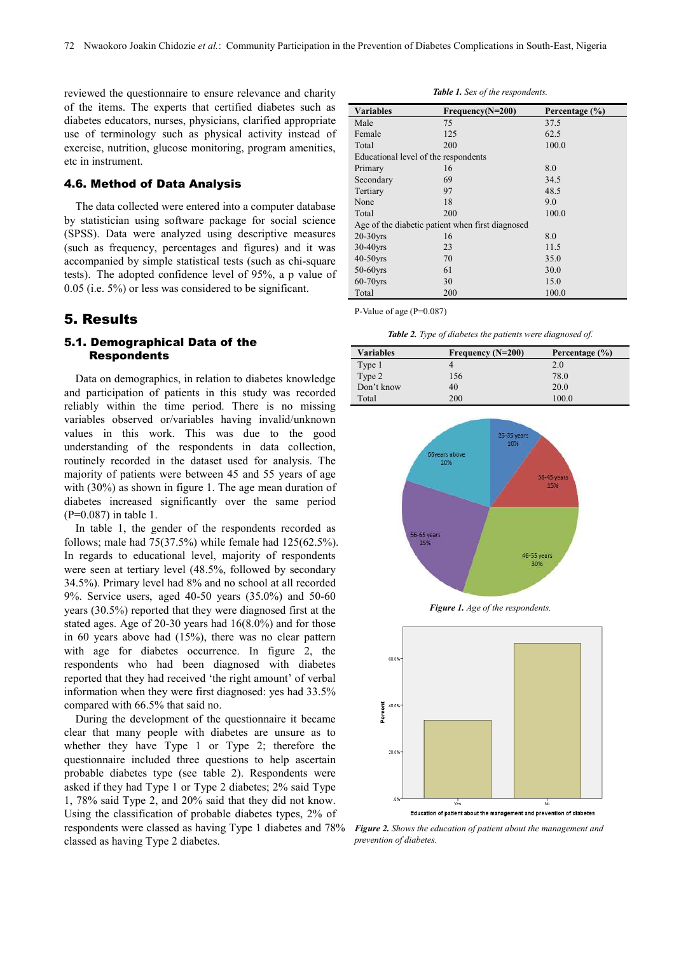reviewed the questionnaire to ensure relevance and charity of the items. The experts that certified diabetes such as diabetes educators, nurses, physicians, clarified appropriate use of terminology such as physical activity instead of exercise, nutrition, glucose monitoring, program amenities, etc in instrument.

#### 4.6. Method of Data Analysis

The data collected were entered into a computer database by statistician using software package for social science (SPSS). Data were analyzed using descriptive measures (such as frequency, percentages and figures) and it was accompanied by simple statistical tests (such as chi-square tests). The adopted confidence level of 95%, a p value of 0.05 (i.e. 5%) or less was considered to be significant.

## 5. Results

#### 5.1. Demographical Data of the Respondents

Data on demographics, in relation to diabetes knowledge and participation of patients in this study was recorded reliably within the time period. There is no missing variables observed or/variables having invalid/unknown values in this work. This was due to the good understanding of the respondents in data collection, routinely recorded in the dataset used for analysis. The majority of patients were between 45 and 55 years of age with (30%) as shown in figure 1. The age mean duration of diabetes increased significantly over the same period (P=0.087) in table 1.

In table 1, the gender of the respondents recorded as follows; male had  $75(37.5%)$  while female had  $125(62.5%)$ . In regards to educational level, majority of respondents were seen at tertiary level (48.5%, followed by secondary 34.5%). Primary level had 8% and no school at all recorded 9%. Service users, aged 40-50 years (35.0%) and 50-60 years (30.5%) reported that they were diagnosed first at the stated ages. Age of 20-30 years had 16(8.0%) and for those in 60 years above had (15%), there was no clear pattern with age for diabetes occurrence. In figure 2, the respondents who had been diagnosed with diabetes reported that they had received 'the right amount' of verbal information when they were first diagnosed: yes had 33.5% compared with 66.5% that said no.

During the development of the questionnaire it became clear that many people with diabetes are unsure as to whether they have Type 1 or Type 2; therefore the questionnaire included three questions to help ascertain probable diabetes type (see table 2). Respondents were asked if they had Type 1 or Type 2 diabetes; 2% said Type 1, 78% said Type 2, and 20% said that they did not know. Using the classification of probable diabetes types, 2% of respondents were classed as having Type 1 diabetes and 78% *Figure 2. Shows the education of patient about the management and*  classed as having Type 2 diabetes.

*Table 1. Sex of the respondents.* 

| <b>Variables</b>                                 | $Frequency(N=200)$ | Percentage $(\% )$ |  |
|--------------------------------------------------|--------------------|--------------------|--|
| Male                                             | 75                 | 37.5               |  |
| Female                                           | 125                | 62.5               |  |
| Total                                            | 200                | 100.0              |  |
| Educational level of the respondents             |                    |                    |  |
| Primary                                          | 16                 | 8.0                |  |
| Secondary                                        | 69                 | 34.5               |  |
| Tertiary                                         | 97                 | 48.5               |  |
| None                                             | 18                 | 9.0                |  |
| Total                                            | 200                | 100.0              |  |
| Age of the diabetic patient when first diagnosed |                    |                    |  |
| $20-30$ yrs                                      | 16                 | 8.0                |  |
| $30-40$ vrs                                      | 23                 | 11.5               |  |
| $40-50$ vrs                                      | 70                 | 35.0               |  |
| $50-60$ vrs                                      | 61                 | 30.0               |  |
| $60-70$ vrs                                      | 30                 | 15.0               |  |
| Total                                            | 200                | 100.0              |  |

P-Value of age (P=0.087)

*Table 2. Type of diabetes the patients were diagnosed of.* 

| <b>Variables</b> | Frequency $(N=200)$ | Percentage $(\% )$ |
|------------------|---------------------|--------------------|
| Type 1           |                     | 2.0                |
| Type 2           | 156                 | 78.0               |
| Don't know       | 40                  | 20.0               |
| Total            | <b>200</b>          | 100.0              |



*Figure 1. Age of the respondents.* 



Education of patient about the management and prevention of diabetes

*prevention of diabetes.*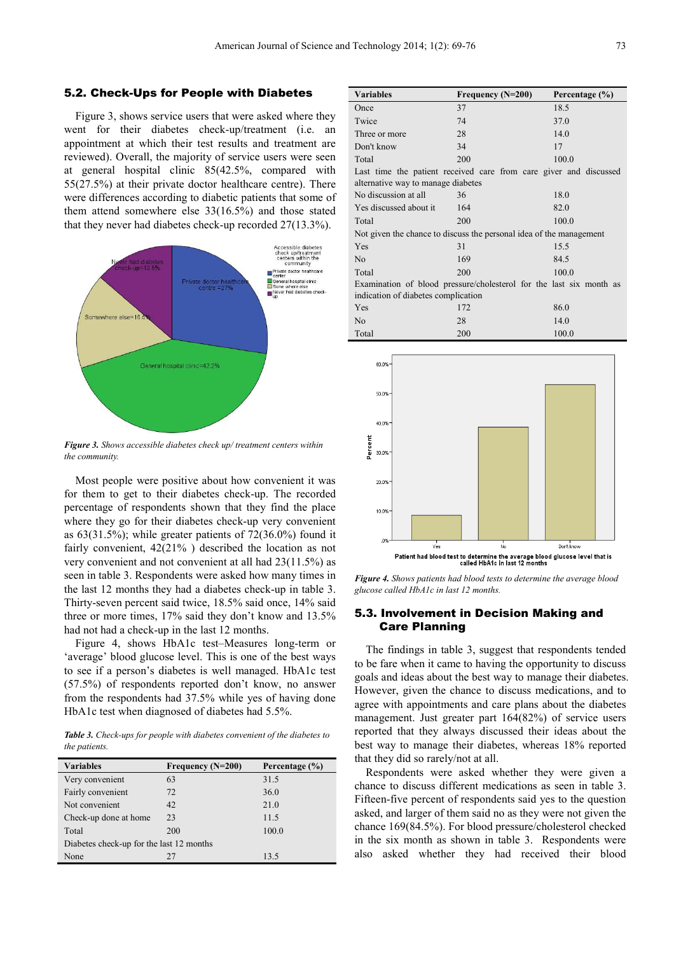#### 5.2. Check-Ups for People with Diabetes

Figure 3, shows service users that were asked where they went for their diabetes check-up/treatment (i.e. an appointment at which their test results and treatment are reviewed). Overall, the majority of service users were seen at general hospital clinic 85(42.5%, compared with 55(27.5%) at their private doctor healthcare centre). There were differences according to diabetic patients that some of them attend somewhere else 33(16.5%) and those stated that they never had diabetes check-up recorded 27(13.3%).



*Figure 3. Shows accessible diabetes check up/ treatment centers within the community.* 

Most people were positive about how convenient it was for them to get to their diabetes check-up. The recorded percentage of respondents shown that they find the place where they go for their diabetes check-up very convenient as 63(31.5%); while greater patients of 72(36.0%) found it fairly convenient, 42(21% ) described the location as not very convenient and not convenient at all had 23(11.5%) as seen in table 3. Respondents were asked how many times in the last 12 months they had a diabetes check-up in table 3. Thirty-seven percent said twice, 18.5% said once, 14% said three or more times, 17% said they don't know and 13.5% had not had a check-up in the last 12 months.

Figure 4, shows HbA1c test–Measures long-term or 'average' blood glucose level. This is one of the best ways to see if a person's diabetes is well managed. HbA1c test (57.5%) of respondents reported don't know, no answer from the respondents had 37.5% while yes of having done HbA1c test when diagnosed of diabetes had 5.5%.

*Table 3. Check-ups for people with diabetes convenient of the diabetes to the patients.* 

| <b>Variables</b>                         | Frequency $(N=200)$ | Percentage (%) |  |
|------------------------------------------|---------------------|----------------|--|
| Very convenient                          | 63                  | 31.5           |  |
| Fairly convenient                        | 72                  | 36.0           |  |
| Not convenient                           | 42                  | 21.0           |  |
| Check-up done at home                    | 23                  | 11.5           |  |
| Total                                    | 200                 | 100.0          |  |
| Diabetes check-up for the last 12 months |                     |                |  |
| None                                     | 27                  | 13.5           |  |

| <b>Variables</b>                                                                                        | Frequency (N=200)<br>Percentage (%) |       |  |  |
|---------------------------------------------------------------------------------------------------------|-------------------------------------|-------|--|--|
| Once                                                                                                    | 37                                  | 18.5  |  |  |
| Twice                                                                                                   | 74                                  | 37.0  |  |  |
| Three or more                                                                                           | 28                                  | 14.0  |  |  |
| Don't know                                                                                              | 34                                  | 17    |  |  |
| Total                                                                                                   | 200                                 | 100.0 |  |  |
| Last time the patient received care from care giver and discussed<br>alternative way to manage diabetes |                                     |       |  |  |
| No discussion at all                                                                                    | 36                                  | 18.0  |  |  |
| Yes discussed about it                                                                                  | 164                                 | 82.0  |  |  |
| Total                                                                                                   | 200                                 | 100.0 |  |  |
| Not given the chance to discuss the personal idea of the management                                     |                                     |       |  |  |
| Yes                                                                                                     | 31                                  | 15.5  |  |  |
| N <sub>0</sub>                                                                                          | 169                                 | 84.5  |  |  |
| Total                                                                                                   | 200                                 | 100.0 |  |  |
| Examination of blood pressure/cholesterol for the last six month as                                     |                                     |       |  |  |
| indication of diabetes complication                                                                     |                                     |       |  |  |
| Yes                                                                                                     | 172                                 | 86.0  |  |  |
| N <sub>0</sub>                                                                                          | 28                                  | 14.0  |  |  |
| Total                                                                                                   | 200                                 | 100.0 |  |  |



*Figure 4. Shows patients had blood tests to determine the average blood glucose called HbA1c in last 12 months.* 

#### 5.3. Involvement in Decision Making and Care Planning

The findings in table 3, suggest that respondents tended to be fare when it came to having the opportunity to discuss goals and ideas about the best way to manage their diabetes. However, given the chance to discuss medications, and to agree with appointments and care plans about the diabetes management. Just greater part 164(82%) of service users reported that they always discussed their ideas about the best way to manage their diabetes, whereas 18% reported that they did so rarely/not at all.

Respondents were asked whether they were given a chance to discuss different medications as seen in table 3. Fifteen-five percent of respondents said yes to the question asked, and larger of them said no as they were not given the chance 169(84.5%). For blood pressure/cholesterol checked in the six month as shown in table 3. Respondents were also asked whether they had received their blood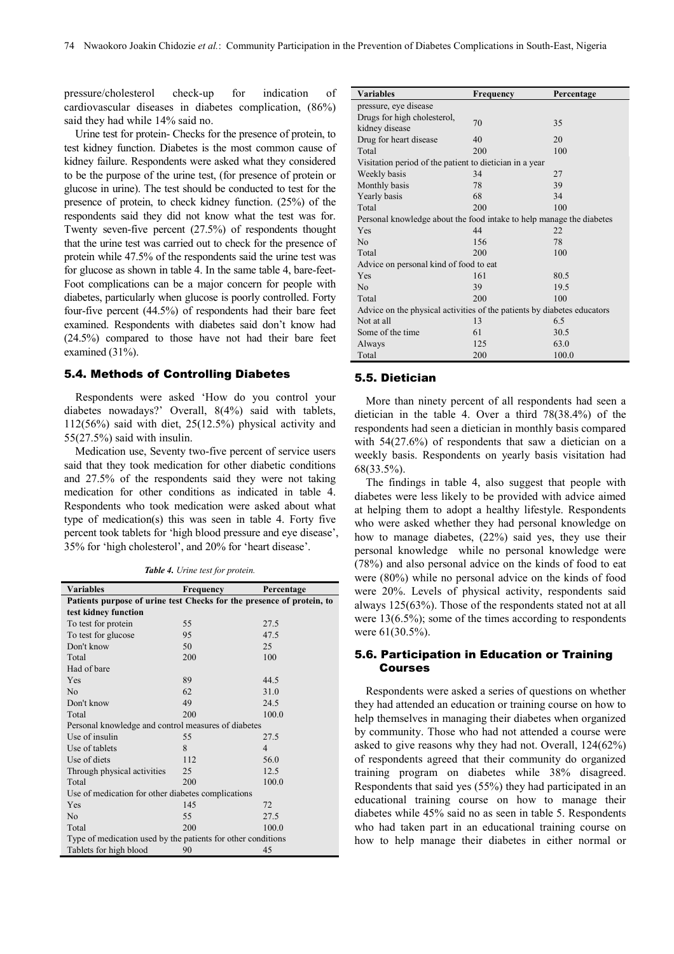pressure/cholesterol check-up for indication of cardiovascular diseases in diabetes complication, (86%) said they had while 14% said no.

Urine test for protein- Checks for the presence of protein, to test kidney function. Diabetes is the most common cause of kidney failure. Respondents were asked what they considered to be the purpose of the urine test, (for presence of protein or glucose in urine). The test should be conducted to test for the presence of protein, to check kidney function. (25%) of the respondents said they did not know what the test was for. Twenty seven-five percent (27.5%) of respondents thought that the urine test was carried out to check for the presence of protein while 47.5% of the respondents said the urine test was for glucose as shown in table 4. In the same table 4, bare-feet-Foot complications can be a major concern for people with diabetes, particularly when glucose is poorly controlled. Forty four-five percent (44.5%) of respondents had their bare feet examined. Respondents with diabetes said don't know had (24.5%) compared to those have not had their bare feet examined (31%).

#### 5.4. Methods of Controlling Diabetes

Respondents were asked 'How do you control your diabetes nowadays?' Overall, 8(4%) said with tablets, 112(56%) said with diet, 25(12.5%) physical activity and 55(27.5%) said with insulin.

Medication use, Seventy two-five percent of service users said that they took medication for other diabetic conditions and 27.5% of the respondents said they were not taking medication for other conditions as indicated in table 4. Respondents who took medication were asked about what type of medication(s) this was seen in table 4. Forty five percent took tablets for 'high blood pressure and eye disease', 35% for 'high cholesterol', and 20% for 'heart disease'.

*Table 4. Urine test for protein.* 

| <b>Variables</b>                                                      | <b>Frequency</b> | Percentage     |  |
|-----------------------------------------------------------------------|------------------|----------------|--|
| Patients purpose of urine test Checks for the presence of protein, to |                  |                |  |
| test kidney function                                                  |                  |                |  |
| To test for protein                                                   | 55               | 27.5           |  |
| To test for glucose                                                   | 95               | 47.5           |  |
| Don't know                                                            | 50               | 25             |  |
| Total                                                                 | 200              | 100            |  |
| Had of bare                                                           |                  |                |  |
| Yes                                                                   | 89               | 44.5           |  |
| No                                                                    | 62               | 31.0           |  |
| Don't know                                                            | 49               | 24.5           |  |
| Total                                                                 | 200              | 100.0          |  |
| Personal knowledge and control measures of diabetes                   |                  |                |  |
| Use of insulin                                                        | 55               | 27.5           |  |
| Use of tablets                                                        | 8                | $\overline{4}$ |  |
| Use of diets                                                          | 112              | 56.0           |  |
| Through physical activities                                           | 25               | 12.5           |  |
| Total                                                                 | 200              | 100.0          |  |
| Use of medication for other diabetes complications                    |                  |                |  |
| Yes                                                                   | 145              | 72             |  |
| N <sub>o</sub>                                                        | 55               | 27.5           |  |
| Total                                                                 | 200              | 100.0          |  |
| Type of medication used by the patients for other conditions          |                  |                |  |
| Tablets for high blood                                                | 90               | 45             |  |

| <b>Variables</b>                                                        | Frequency | Percentage |  |
|-------------------------------------------------------------------------|-----------|------------|--|
| pressure, eye disease                                                   |           |            |  |
| Drugs for high cholesterol,                                             | 70        | 35         |  |
| kidney disease                                                          |           |            |  |
| Drug for heart disease                                                  | 40        | 20         |  |
| Total                                                                   | 200       | 100        |  |
| Visitation period of the patient to dietician in a year                 |           |            |  |
| Weekly basis                                                            | 34        | 27         |  |
| Monthly basis                                                           | 78        | 39         |  |
| Yearly basis                                                            | 68        | 34         |  |
| Total                                                                   | 200       | 100        |  |
| Personal knowledge about the food intake to help manage the diabetes    |           |            |  |
| Yes                                                                     | 44        | 22         |  |
| N <sub>0</sub>                                                          | 156       | 78         |  |
| Total                                                                   | 200       | 100        |  |
| Advice on personal kind of food to eat                                  |           |            |  |
| Yes                                                                     | 161       | 80.5       |  |
| N <sub>0</sub>                                                          | 39        | 19.5       |  |
| Total                                                                   | 200       | 100        |  |
| Advice on the physical activities of the patients by diabetes educators |           |            |  |
| Not at all                                                              | 13        | 6.5        |  |
| Some of the time                                                        | 61        | 30.5       |  |
| Always                                                                  | 125       | 63.0       |  |
| Total                                                                   | 200       | 100.0      |  |

#### 5.5. Dietician

More than ninety percent of all respondents had seen a dietician in the table 4. Over a third 78(38.4%) of the respondents had seen a dietician in monthly basis compared with 54(27.6%) of respondents that saw a dietician on a weekly basis. Respondents on yearly basis visitation had 68(33.5%).

The findings in table 4, also suggest that people with diabetes were less likely to be provided with advice aimed at helping them to adopt a healthy lifestyle. Respondents who were asked whether they had personal knowledge on how to manage diabetes, (22%) said yes, they use their personal knowledge while no personal knowledge were (78%) and also personal advice on the kinds of food to eat were (80%) while no personal advice on the kinds of food were 20%. Levels of physical activity, respondents said always 125(63%). Those of the respondents stated not at all were 13(6.5%); some of the times according to respondents were 61(30.5%).

#### 5.6. Participation in Education or Training Courses

Respondents were asked a series of questions on whether they had attended an education or training course on how to help themselves in managing their diabetes when organized by community. Those who had not attended a course were asked to give reasons why they had not. Overall, 124(62%) of respondents agreed that their community do organized training program on diabetes while 38% disagreed. Respondents that said yes (55%) they had participated in an educational training course on how to manage their diabetes while 45% said no as seen in table 5. Respondents who had taken part in an educational training course on how to help manage their diabetes in either normal or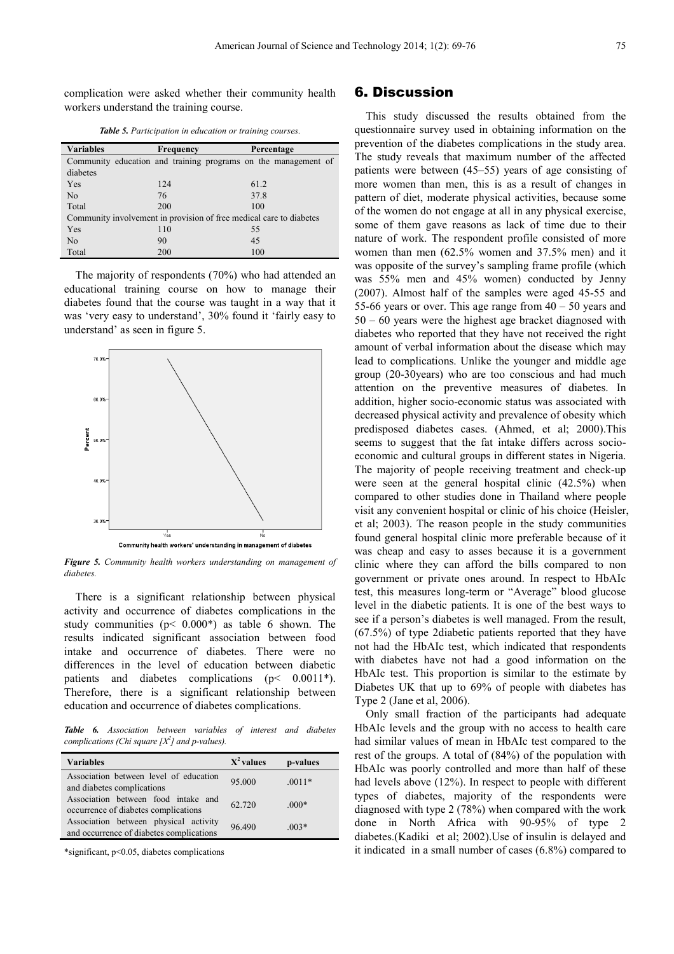complication were asked whether their community health workers understand the training course.

| <b>Table 5.</b> Participation in education or training courses. |  |  |
|-----------------------------------------------------------------|--|--|
|-----------------------------------------------------------------|--|--|

| <b>Variables</b>                                                    | Frequency | Percentage                                                     |  |
|---------------------------------------------------------------------|-----------|----------------------------------------------------------------|--|
|                                                                     |           | Community education and training programs on the management of |  |
| diabetes                                                            |           |                                                                |  |
| Yes                                                                 | 124       | 61.2                                                           |  |
| N <sub>0</sub>                                                      | 76        | 37.8                                                           |  |
| Total                                                               | 200       | 100                                                            |  |
| Community involvement in provision of free medical care to diabetes |           |                                                                |  |
| Yes                                                                 | 110       | 55                                                             |  |
| N <sub>0</sub>                                                      | 90        | 45                                                             |  |
| Total                                                               | 200       | 100                                                            |  |

The majority of respondents (70%) who had attended an educational training course on how to manage their diabetes found that the course was taught in a way that it was 'very easy to understand', 30% found it 'fairly easy to understand' as seen in figure 5.



*Figure 5. Community health workers understanding on management of diabetes.* 

There is a significant relationship between physical activity and occurrence of diabetes complications in the study communities ( $p$ < 0.000\*) as table 6 shown. The results indicated significant association between food intake and occurrence of diabetes. There were no differences in the level of education between diabetic patients and diabetes complications (p< 0.0011\*). Therefore, there is a significant relationship between education and occurrence of diabetes complications.

*Table 6. Association between variables of interest and diabetes complications (Chi square [X<sup>2</sup> ] and p-values).* 

| <b>Variables</b>                                                                  | $X^2$ values | p-values |
|-----------------------------------------------------------------------------------|--------------|----------|
| Association between level of education<br>and diabetes complications              | 95.000       | $.0011*$ |
| Association between food intake and<br>occurrence of diabetes complications       | 62.720       | $.000*$  |
| Association between physical activity<br>and occurrence of diabetes complications | 96.490       | $.003*$  |

\*significant, p<0.05, diabetes complications

#### 6. Discussion

This study discussed the results obtained from the questionnaire survey used in obtaining information on the prevention of the diabetes complications in the study area. The study reveals that maximum number of the affected patients were between (45–55) years of age consisting of more women than men, this is as a result of changes in pattern of diet, moderate physical activities, because some of the women do not engage at all in any physical exercise, some of them gave reasons as lack of time due to their nature of work. The respondent profile consisted of more women than men (62.5% women and 37.5% men) and it was opposite of the survey's sampling frame profile (which was 55% men and 45% women) conducted by Jenny (2007). Almost half of the samples were aged 45-55 and 55-66 years or over. This age range from  $40 - 50$  years and 50 – 60 years were the highest age bracket diagnosed with diabetes who reported that they have not received the right amount of verbal information about the disease which may lead to complications. Unlike the younger and middle age group (20-30years) who are too conscious and had much attention on the preventive measures of diabetes. In addition, higher socio-economic status was associated with decreased physical activity and prevalence of obesity which predisposed diabetes cases. (Ahmed, et al; 2000).This seems to suggest that the fat intake differs across socioeconomic and cultural groups in different states in Nigeria. The majority of people receiving treatment and check-up were seen at the general hospital clinic (42.5%) when compared to other studies done in Thailand where people visit any convenient hospital or clinic of his choice (Heisler, et al; 2003). The reason people in the study communities found general hospital clinic more preferable because of it was cheap and easy to asses because it is a government clinic where they can afford the bills compared to non government or private ones around. In respect to HbAIc test, this measures long-term or "Average" blood glucose level in the diabetic patients. It is one of the best ways to see if a person's diabetes is well managed. From the result, (67.5%) of type 2diabetic patients reported that they have not had the HbAIc test, which indicated that respondents with diabetes have not had a good information on the HbAIc test. This proportion is similar to the estimate by Diabetes UK that up to 69% of people with diabetes has Type 2 (Jane et al, 2006).

Only small fraction of the participants had adequate HbAIc levels and the group with no access to health care had similar values of mean in HbAIc test compared to the rest of the groups. A total of (84%) of the population with HbAIc was poorly controlled and more than half of these had levels above (12%). In respect to people with different types of diabetes, majority of the respondents were diagnosed with type 2 (78%) when compared with the work done in North Africa with 90-95% of type 2 diabetes.(Kadiki et al; 2002).Use of insulin is delayed and it indicated in a small number of cases (6.8%) compared to